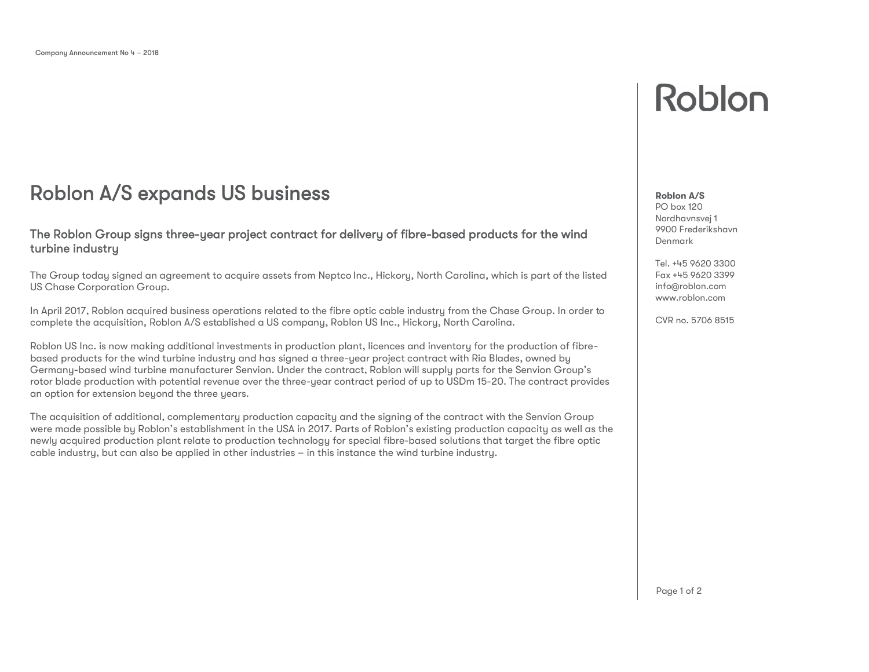## Roblon A/S expands US business **Roblem A/S**

### The Roblon Group signs three-year project contract for delivery of fibre-based products for the wind turbine industry

The Group today signed an agreement to acquire assets from Neptco Inc., Hickory, North Carolina, which is part of the listed US Chase Corporation Group.

In April 2017, Roblon acquired business operations related to the fibre optic cable industry from the Chase Group. In order to complete the acquisition, Roblon A/S established a US company, Roblon US Inc., Hickory, North Carolina.

Roblon US Inc. is now making additional investments in production plant, licences and inventory for the production of fibrebased products for the wind turbine industry and has signed a three-year project contract with Ria Blades, owned by Germany-based wind turbine manufacturer Senvion. Under the contract, Roblon will supply parts for the Senvion Group's rotor blade production with potential revenue over the three-year contract period of up to USDm 15-20. The contract provides an option for extension beyond the three years.

The acquisition of additional, complementary production capacity and the signing of the contract with the Senvion Group were made possible by Roblon's establishment in the USA in 2017. Parts of Roblon's existing production capacity as well as the newly acquired production plant relate to production technology for special fibre-based solutions that target the fibre optic cable industry, but can also be applied in other industries – in this instance the wind turbine industry.

# Roblon

## PO box 120

Nordhavnsvej 1 9900 Frederikshavn Denmark

Tel. +45 9620 3300 Fax +45 9620 3399 [info@roblon.com](mailto:info@roblon.com) <www.roblon.com>

CVR no. 5706 8515